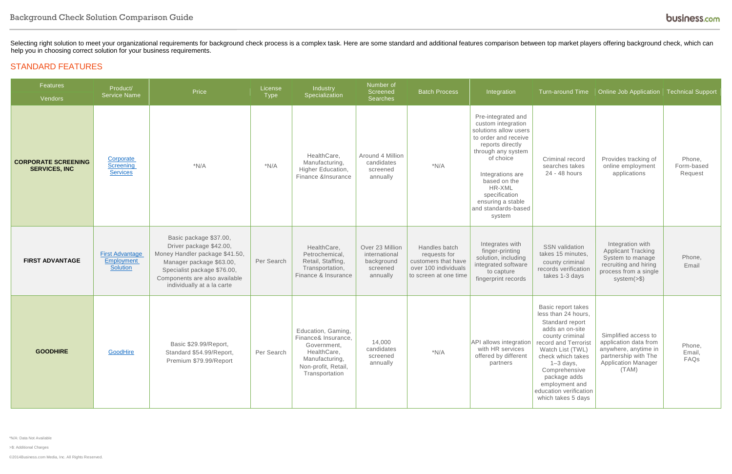\*N/A: Data Not Available

>\$: Additional Charges

©2014Business.com Media, Inc. All Rights Reserved.

Selecting right solution to meet your organizational requirements for background check process is a complex task. Here are some standard and additional features comparison between top market players offering background che help you in choosing correct solution for your business requirements.

#### STANDARD FEATURES

| Features<br>Vendors                                | Product/<br>Price<br><b>Service Name</b>                |                                                                                                                                                                                                               | License<br>Type | Industry<br>Specialization                                                                                                        | Number of<br>Screened<br>Searches                                      | <b>Batch Process</b>                                                                                  | Integration                                                                                                                                                                                                                                                           | <b>Turn-around Time</b>                                                                                                                                                                                                                                                               | Online Job Application   Technical Support                                                                                           |                                 |
|----------------------------------------------------|---------------------------------------------------------|---------------------------------------------------------------------------------------------------------------------------------------------------------------------------------------------------------------|-----------------|-----------------------------------------------------------------------------------------------------------------------------------|------------------------------------------------------------------------|-------------------------------------------------------------------------------------------------------|-----------------------------------------------------------------------------------------------------------------------------------------------------------------------------------------------------------------------------------------------------------------------|---------------------------------------------------------------------------------------------------------------------------------------------------------------------------------------------------------------------------------------------------------------------------------------|--------------------------------------------------------------------------------------------------------------------------------------|---------------------------------|
| <b>CORPORATE SCREENING</b><br><b>SERVICES, INC</b> | Corporate<br>Screening<br><b>Services</b>               | $*N/A$                                                                                                                                                                                                        | $*N/A$          | HealthCare,<br>Manufacturing,<br>Higher Education,<br>Finance &Insurance                                                          | Around 4 Million<br>candidates<br>screened<br>annually                 | $*N/A$                                                                                                | Pre-integrated and<br>custom integration<br>solutions allow users<br>to order and receive<br>reports directly<br>through any system<br>of choice<br>Integrations are<br>based on the<br>HR-XML<br>specification<br>ensuring a stable<br>and standards-based<br>system | Criminal record<br>searches takes<br>24 - 48 hours                                                                                                                                                                                                                                    | Provides tracking of<br>online employment<br>applications                                                                            | Phone,<br>Form-based<br>Request |
| <b>FIRST ADVANTAGE</b>                             | <b>First Advantage</b><br>Employment<br><b>Solution</b> | Basic package \$37.00,<br>Driver package \$42.00,<br>Money Handler package \$41.50,<br>Manager package \$63.00,<br>Specialist package \$76.00,<br>Components are also available<br>individually at a la carte | Per Search      | HealthCare,<br>Petrochemical,<br>Retail, Staffing,<br>Transportation,<br>Finance & Insurance                                      | Over 23 Million<br>international<br>background<br>screened<br>annually | Handles batch<br>requests for<br>customers that have<br>over 100 individuals<br>to screen at one time | Integrates with<br>finger-printing<br>solution, including<br>integrated software<br>to capture<br>fingerprint records                                                                                                                                                 | <b>SSN</b> validation<br>takes 15 minutes,<br>county criminal<br>records verification<br>takes 1-3 days                                                                                                                                                                               | Integration with<br><b>Applicant Tracking</b><br>System to manage<br>recruiting and hiring<br>process from a single<br>$system(>\$   | Phone,<br>Email                 |
| <b>GOODHIRE</b>                                    | GoodHire                                                | Basic \$29.99/Report<br>Standard \$54.99/Report,<br>Premium \$79.99/Report                                                                                                                                    | Per Search      | Education, Gaming,<br>Finance& Insurance<br>Government,<br>HealthCare,<br>Manufacturing,<br>Non-profit, Retail,<br>Transportation | 14,000<br>candidates<br>screened<br>annually                           | $*N/A$                                                                                                | API allows integration<br>with HR services<br>offered by different<br>partners                                                                                                                                                                                        | Basic report takes<br>less than 24 hours,<br>Standard report<br>adds an on-site<br>county criminal<br>record and Terrorist<br>Watch List (TWL)<br>check which takes<br>$1-3$ days,<br>Comprehensive<br>package adds<br>employment and<br>education verification<br>which takes 5 days | Simplified access to<br>application data from<br>anywhere, anytime in<br>partnership with The<br><b>Application Manager</b><br>(TAM) | Phone,<br>Email,<br>FAQs        |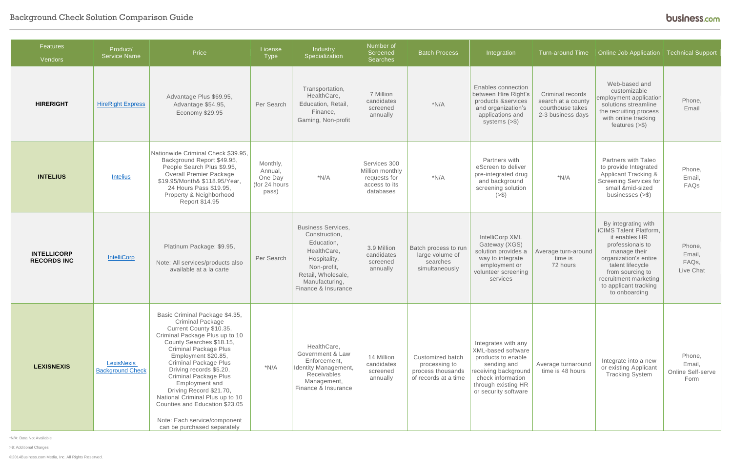## Background Check Solution Comparison Guide

\*N/A: Data Not Available

>\$: Additional Charges

| Features<br>Vendors                      | Product/<br><b>Service Name</b>              | Price                                                                                                                                                                                                                                                                                                                                                                                                                                                                                 | License<br>Type                                          | Industry<br>Specialization                                                                                                                                            | Number of<br>Screened<br>Searches                                             | <b>Batch Process</b>                                                           | Integration                                                                                                                                                                | <b>Turn-around Time</b>                                                         | Online Job Application<br><b>Technical Support</b>                                                                                                                                                                                     |                                               |
|------------------------------------------|----------------------------------------------|---------------------------------------------------------------------------------------------------------------------------------------------------------------------------------------------------------------------------------------------------------------------------------------------------------------------------------------------------------------------------------------------------------------------------------------------------------------------------------------|----------------------------------------------------------|-----------------------------------------------------------------------------------------------------------------------------------------------------------------------|-------------------------------------------------------------------------------|--------------------------------------------------------------------------------|----------------------------------------------------------------------------------------------------------------------------------------------------------------------------|---------------------------------------------------------------------------------|----------------------------------------------------------------------------------------------------------------------------------------------------------------------------------------------------------------------------------------|-----------------------------------------------|
| <b>HIRERIGHT</b>                         | <b>HireRight Express</b>                     | Advantage Plus \$69.95,<br>Advantage \$54.95,<br>Economy \$29.95                                                                                                                                                                                                                                                                                                                                                                                                                      | Per Search                                               | Transportation,<br>HealthCare,<br>Education, Retail,<br>Finance,<br>Gaming, Non-profit                                                                                | 7 Million<br>candidates<br>screened<br>annually                               | $*N/A$                                                                         | Enables connection<br>between Hire Right's<br>products &services<br>and organization's<br>applications and<br>systems $(>\$                                                | Criminal records<br>search at a county<br>courthouse takes<br>2-3 business days | Web-based and<br>customizable<br>employment application<br>solutions streamline<br>the recruiting process<br>with online tracking<br>features $(>\$ \$)                                                                                | Phone,<br>Email                               |
| <b>INTELIUS</b>                          | <b>Intelius</b>                              | Nationwide Criminal Check \$39.95,<br>Background Report \$49.95,<br>People Search Plus \$9.95,<br><b>Overall Premier Package</b><br>\$19.95/Month& \$118.95/Year,<br>24 Hours Pass \$19.95,<br>Property & Neighborhood<br>Report \$14.95                                                                                                                                                                                                                                              | Monthly,<br>Annual,<br>One Day<br>(for 24 hours<br>pass) | $*N/A$                                                                                                                                                                | Services 300<br>Million monthly<br>requests for<br>access to its<br>databases | $*N/A$                                                                         | Partners with<br>eScreen to deliver<br>pre-integrated drug<br>and background<br>screening solution<br>$(>\$)$                                                              | $*N/A$                                                                          | Partners with Taleo<br>to provide Integrated<br>Applicant Tracking &<br><b>Screening Services for</b><br>small &mid-sized<br>businesses $(>\$                                                                                          | Phone,<br>Email,<br>FAQs                      |
| <b>INTELLICORP</b><br><b>RECORDS INC</b> | <b>IntelliCorp</b>                           | Platinum Package: \$9.95,<br>Note: All services/products also<br>available at a la carte                                                                                                                                                                                                                                                                                                                                                                                              | Per Search                                               | <b>Business Services,</b><br>Construction,<br>Education,<br>HealthCare,<br>Hospitality,<br>Non-profit,<br>Retail, Wholesale,<br>Manufacturing,<br>Finance & Insurance | 3.9 Million<br>candidates<br>screened<br>annually                             | Batch process to run<br>large volume of<br>searches<br>simultaneously          | IntelliCorp XML<br>Gateway (XGS)<br>solution provides a<br>way to integrate<br>employment or<br>volunteer screening<br>services                                            | Average turn-around<br>time is<br>72 hours                                      | By integrating with<br>iCIMS Talent Platform,<br>it enables HR<br>professionals to<br>manage their<br>organization's entire<br>talent lifecycle<br>from sourcing to<br>recruitment marketing<br>to applicant tracking<br>to onboarding | Phone,<br>Email,<br>FAQs,<br>Live Chat        |
| <b>LEXISNEXIS</b>                        | <b>LexisNexis</b><br><b>Background Check</b> | Basic Criminal Package \$4.35,<br><b>Criminal Package</b><br>Current County \$10.35,<br>Criminal Package Plus up to 10<br>County Searches \$18.15,<br><b>Criminal Package Plus</b><br>Employment \$20.85,<br><b>Criminal Package Plus</b><br>Driving records \$5.20,<br><b>Criminal Package Plus</b><br>Employment and<br>Driving Record \$21.70,<br>National Criminal Plus up to 10<br>Counties and Education \$23.05<br>Note: Each service/component<br>can be purchased separately | $*N/A$                                                   | HealthCare,<br>Government & Law<br>Enforcement,<br><b>Identity Management,</b><br>Receivables<br>Management,<br>Finance & Insurance                                   | 14 Million<br>candidates<br>screened<br>annually                              | Customized batch<br>processing to<br>process thousands<br>of records at a time | Integrates with any<br>XML-based software<br>products to enable<br>sending and<br>receiving background<br>check information<br>through existing HR<br>or security software | Average turnaround<br>time is 48 hours                                          | Integrate into a new<br>or existing Applicant<br><b>Tracking System</b>                                                                                                                                                                | Phone,<br>Email,<br>Online Self-serve<br>Form |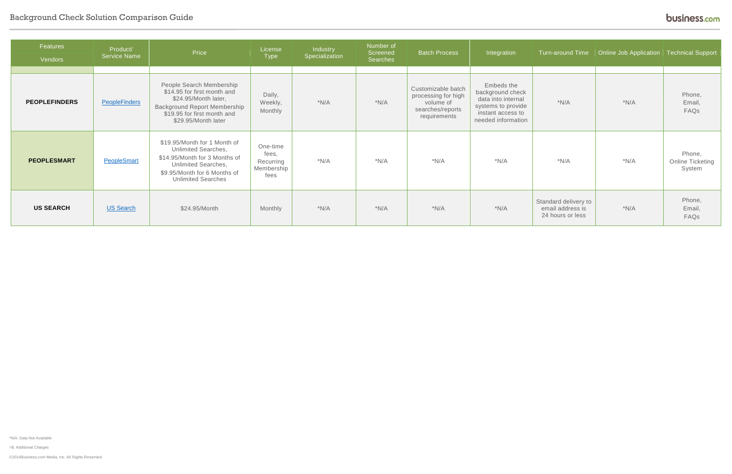## Background Check Solution Comparison Guide

\*N/A: Data Not Available

>\$: Additional Charges

©2014Business.com Media, Inc. All Rights Reserved.

| Features<br>Vendors  | Product/<br><b>Service Name</b> | Price                                                                                                                                                                                  | License<br>Type                                      | Industry<br>Specialization | Number of<br>Screened<br>Searches | <b>Batch Process</b>                                                                       | Integration                                                                                                           | Turn-around Time                                             | <b>Online Job Application</b> Technical Support |                                      |
|----------------------|---------------------------------|----------------------------------------------------------------------------------------------------------------------------------------------------------------------------------------|------------------------------------------------------|----------------------------|-----------------------------------|--------------------------------------------------------------------------------------------|-----------------------------------------------------------------------------------------------------------------------|--------------------------------------------------------------|-------------------------------------------------|--------------------------------------|
|                      |                                 |                                                                                                                                                                                        |                                                      |                            |                                   |                                                                                            |                                                                                                                       |                                                              |                                                 |                                      |
| <b>PEOPLEFINDERS</b> | <b>PeopleFinders</b>            | People Search Membership<br>\$14.95 for first month and<br>\$24.95/Month later,<br><b>Background Report Membership</b><br>\$19.95 for first month and<br>\$29.95/Month later           | Daily,<br>Weekly,<br>Monthly                         | $*N/A$                     | $*N/A$                            | Customizable batch<br>processing for high<br>volume of<br>searches/reports<br>requirements | Embeds the<br>background check<br>data into internal<br>systems to provide<br>instant access to<br>needed information | $*N/A$                                                       | $*N/A$                                          | Phone,<br>Email,<br>FAQs             |
| <b>PEOPLESMART</b>   | PeopleSmart                     | \$19.95/Month for 1 Month of<br><b>Unlimited Searches,</b><br>\$14.95/Month for 3 Months of<br><b>Unlimited Searches,</b><br>\$9.95/Month for 6 Months of<br><b>Unlimited Searches</b> | One-time<br>fees,<br>Recurring<br>Membership<br>fees | $*N/A$                     | $*N/A$                            | $*N/A$                                                                                     | $*N/A$                                                                                                                | $*N/A$                                                       | $*N/A$                                          | Phone,<br>Online Ticketing<br>System |
| <b>US SEARCH</b>     | US Search                       | \$24.95/Month                                                                                                                                                                          | Monthly                                              | $*N/A$                     | $*N/A$                            | $*N/A$                                                                                     | $*N/A$                                                                                                                | Standard delivery to<br>email address is<br>24 hours or less | $*N/A$                                          | Phone,<br>Email,<br>FAQs             |